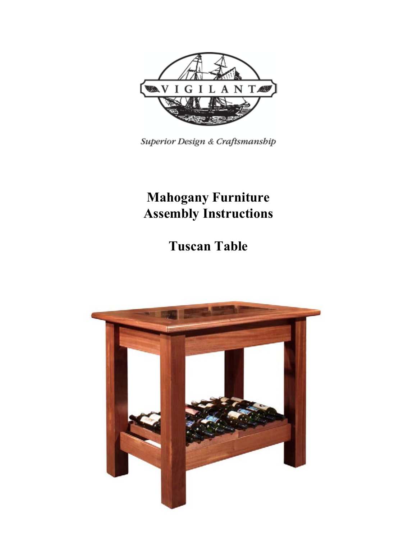

Superior Design & Craftsmanship

## **Mahogany Furniture Assembly Instructions**

# **Tuscan Table**

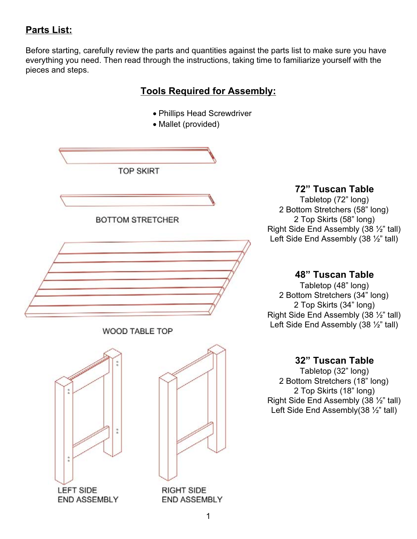### **Parts List:**

Before starting, carefully review the parts and quantities against the parts list to make sure you have everything you need. Then read through the instructions, taking time to familiarize yourself with the pieces and steps.

#### **Tools Required for Assembly:**

- Phillips Head Screwdriver
- Mallet (provided)



#### **72" Tuscan Table**

Tabletop (72" long) 2 Bottom Stretchers (58" long) 2 Top Skirts (58" long) Right Side End Assembly (38 ½" tall) Left Side End Assembly (38 ½" tall)

#### **48" Tuscan Table**

Tabletop (48" long) 2 Bottom Stretchers (34" long) 2 Top Skirts (34" long) Right Side End Assembly (38 ½" tall) Left Side End Assembly (38 ½" tall)

#### **32" Tuscan Table**

Tabletop (32" long) 2 Bottom Stretchers (18" long) 2 Top Skirts (18" long) Right Side End Assembly (38 ½" tall) Left Side End Assembly(38 ½" tall)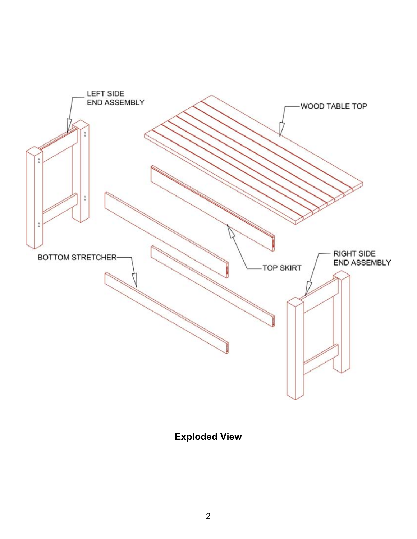

**Exploded View**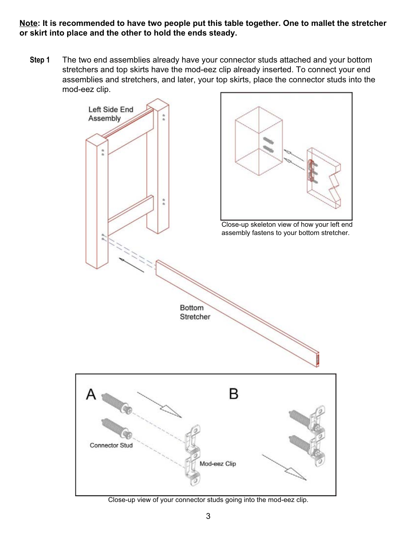**Note: It is recommended to have two people put this table together. One to mallet the stretcher or skirt into place and the other to hold the ends steady.**

**Step 1** The two end assemblies already have your connector studs attached and your bottom stretchers and top skirts have the mod-eez clip already inserted. To connect your end assemblies and stretchers, and later, your top skirts, place the connector studs into the mod-eez clip.



Close-up view of your connector studs going into the mod-eez clip.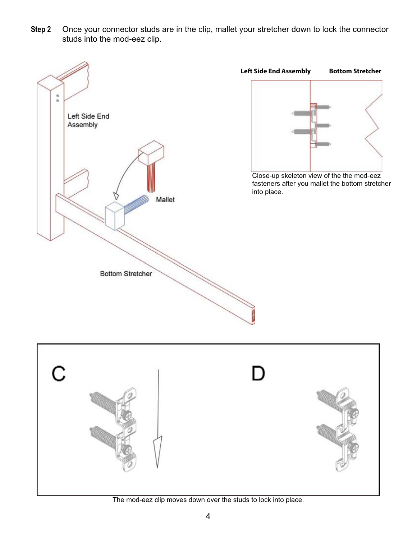**Step 2** Once your connector studs are in the clip, mallet your stretcher down to lock the connector studs into the mod-eez clip.



The mod-eez clip moves down over the studs to lock into place.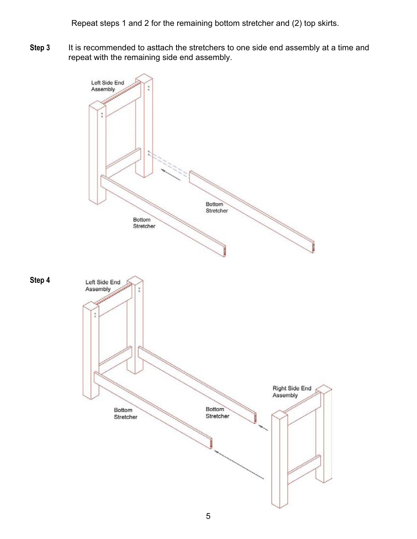Repeat steps 1 and 2 for the remaining bottom stretcher and (2) top skirts.

**Step 3** It is recommended to asttach the stretchers to one side end assembly at a time and repeat with the remaining side end assembly.

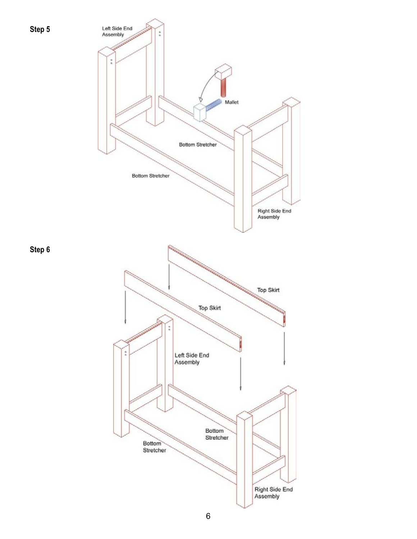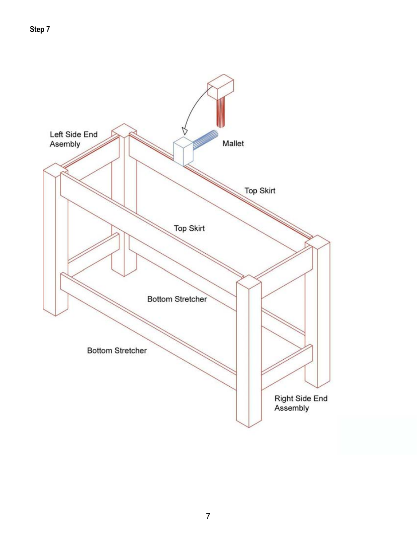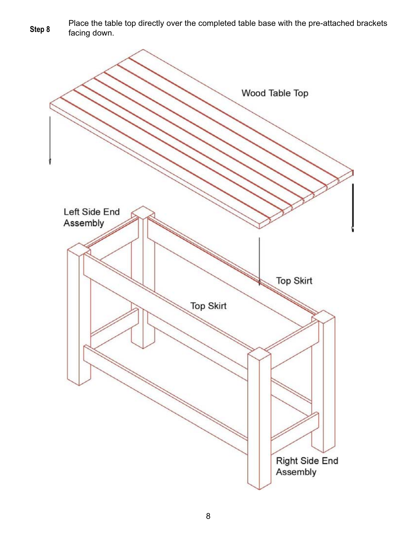Place the table top directly over the completed table base with the pre-attached brackets Step 8 Flace the tab

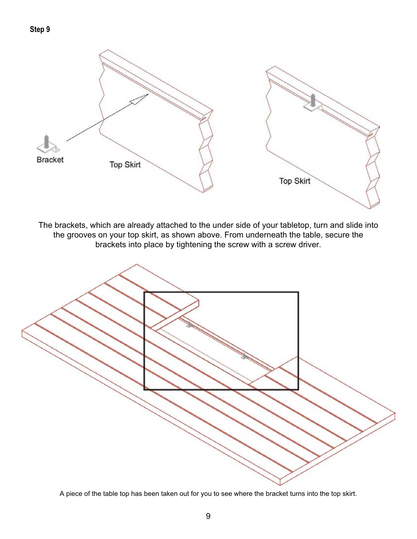

The brackets, which are already attached to the under side of your tabletop, turn and slide into the grooves on your top skirt, as shown above. From underneath the table, secure the brackets into place by tightening the screw with a screw driver.



A piece of the table top has been taken out for you to see where the bracket turns into the top skirt.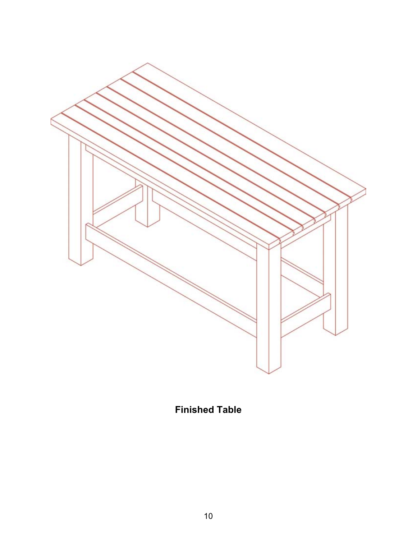

**Finished Table**